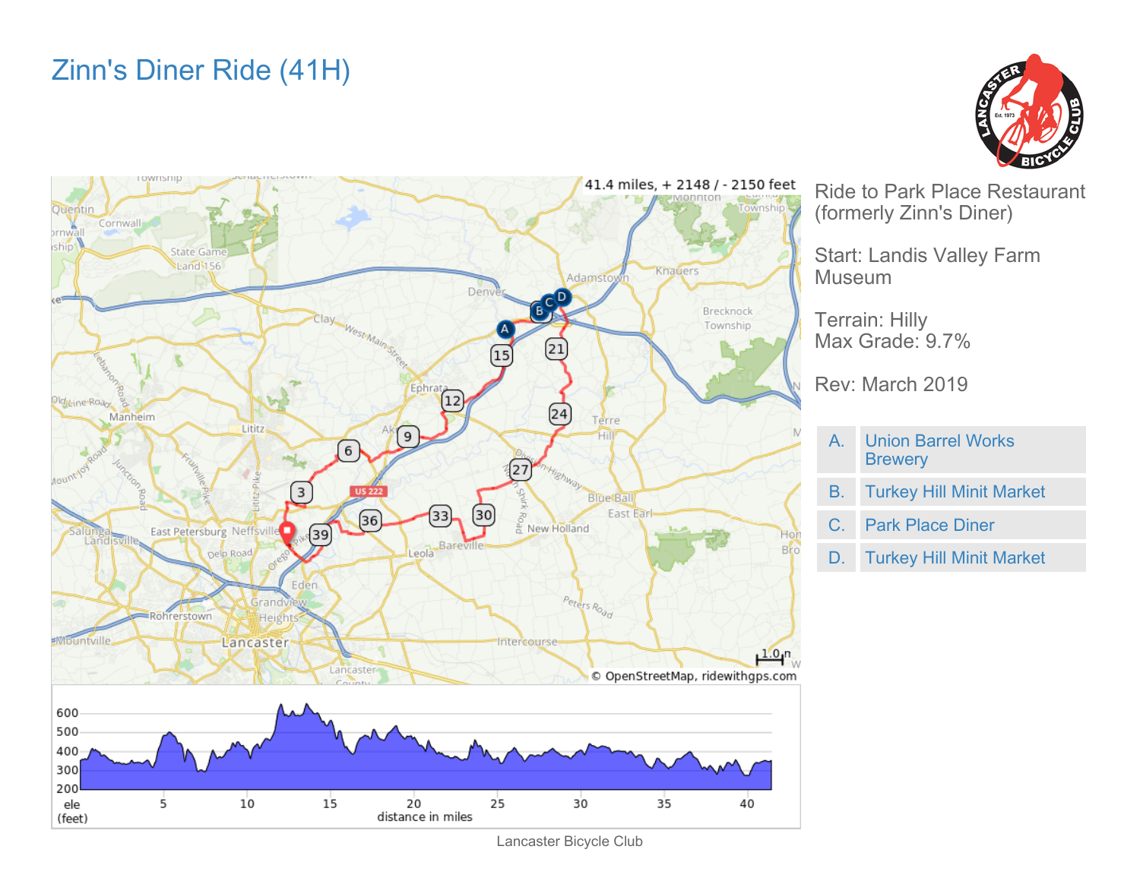## Zinn's Diner Ride (41H)





Ride to Park Place Restaurant (formerly Zinn's Diner)

Start: Landis Valley Farm Museum

Terrain: Hilly Max Grade: 9.7%

Rev: March 2019

- A. Union Barrel Works **Brewery**
- B. Turkey Hill Minit Market
- C. Park Place Diner
- D. Turkey Hill Minit Market

Lancaster Bicycle Club